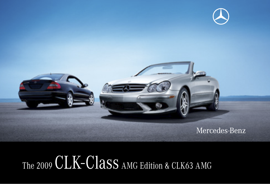



# The 2009 CLK-Class AMG Edition & CLK63 AMG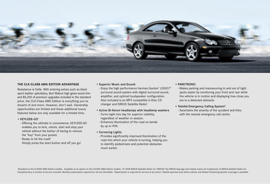

## **THE CLK-CLASS AMG EDITION ADVANTAGE**

Resistance is futile. With enticing extras such as black sport leather upholstery, Burl Walnut high gloss wood trim and \$5,200 of premium upgrades included in the standard price, the CLK-Class AMG Edition is everything you've dreamt of and more. However, don't wait. Ownership opportunities are limited and these additional luxury features below are only available for a limited time.

#### • KEYLESS-GO1

- Offering the ultimate in convenience, KEYLESS-GO enables you to lock, unlock, start and stop your vehicle without the bother of having to remove the "key" from your pocket.
- Ready to hit the road? Simply press the start button and off you go!

## • Superior Music and Sound:

- Enjoy the high performance harman/kardon® LOGIC7® surround sound system with digital surround sound, amplifier, and optimal loudspeaker configuration. Also included is an MP3 compatible 6-Disc CD changer and SIRIUS Satellite Radio?
- Active Bi-Xenon headlamps with headlamp washers
- Turns night into day for superior visibility, regardless of weather or season.
- Enhances illumination of the road on bends by up to 90%.
- Cornering Lights
- Provides significantly improved illumination of the road into which your vehicle is turning, helping you to identify pedestrians and potential obstacles much earlier.

#### • PARKTRONIC

- Makes parking and manoeuvring in and out of tight spots easier by monitoring your front and rear while the vehicle is in motion and displaying how close you are to a detected obstacle.
- TeleAid Emergency Calling System<sup>3</sup>
- Ascertains the severity of the accident and links with the nearest emergency call centre.

'Standard on the CLK550 AMG Edition models. Available as an option on the CLK350 AMG Edition models. <sup>2</sup>© 2008 SIRIUS Satellite Radio Inc."SIRIUS," the SIRIUS og logo and related marks are trademarks of SIRIUS Satellite Ra Complimentary 6 months of service included. Monthly subscription required for service thereafter. <sup>3</sup>Subscription is required for service to be active. TeleAid operates only where cellular and Global Positioning System cov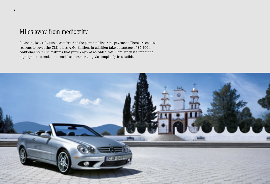# Miles away from mediocrity

Ravishing looks. Exquisite comfort. And the power to blister the pavement. There are endless reasons to covet the CLK-Class AMG Edition. In addition take advantage of \$5,200 in additional premium features that you'll enjoy at no added cost. Here are just a few of the highlights that make this model so mesmerizing. So completely irresistible.

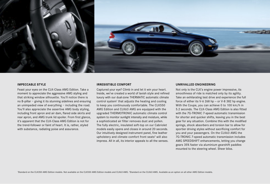

### **IMPECCABLE STYLE**

Feast your eyes on the CLK-Class AMG Edition. Take a moment to appreciate the aggressive AMG styling and that striking window silhouette. You'll notice there is no B-pillar – giving it its stunning sidelines and ensuring an unimpeded view of everything – including the road. You'll also appreciate the assertive AMG body styling, including front apron and air dam, flared side skirts and rear apron, and AMG trunk lid spoiler. From first glance, it's apparent that the CLK-Class AMG Edition is not for the trend-follower or faint of heart. It is, rather, styled with substance, radiating poise and assurance.

#### **IRRESISTIBLE COMFORT**

Captured your eye? Climb in and let it win your heart. Inside, we've created a world of lavish style and refined luxury with our dual-zone THERMATIC automatic climate control system<sup>1</sup> that adjusts the heating and cooling to keep you continuously comfortable. The CLK550 AMG Edition and CLK63 AMG are equipped with the upgraded THERMOTRONIC automatic climate control system to monitor sunlight intensity and moisture, while a sophisticated air filter removes dust and pollen. The fully electric, insulated soft-top on our Cabriolet models easily opens and closes in around 20 seconds. Our intuitively designed instrument panel, fine leather upholstery and climate-comfort front seats<sup>2</sup> will also impress. All in all, its interior appeals to all the senses.

#### **UNRIVALLED ENGINEERING**

Not only is the CLK's engine power impressive, its smoothness of ride is matched only by its agility. Take an exhilarating test drive and experience the full force of either its V-6 268 hp — or V-8 382 hp engine. With the Coupe, you can achieve 0 to 100 km/h in 5.2 seconds. The CLK-Class AMG Edition is also fitted with the 7G-TRONIC 7-speed automatic transmission for shorter and quicker shifts, leaving you in the best gear for any situation. Combine this with the modified springs, shock absorbers and torsion bar to allow for sportier driving styles without sacrificing comfort for you and your passengers. On the CLK63 AMG the 7G-TRONIC 7-speed automatic transmission includes AMG SPEEDSHIFT enhancements, letting you change gears 35% faster via aluminium gearshift paddles mounted to the steering wheel. Sheer bliss.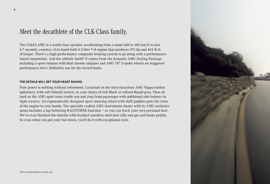# Meet the decathlete of the CLK-Class family.

The CLK63 AMG is a world-class sprinter, accelerating from a stand still to 100 km/h in just 4.7 seconds, courtesy of its hand-built 6.3 litre V-8 engine that produces 475 hp and 465 lb-ft of torque. There's a high-performance composite braking system to go along with a performancetuned suspension. And the athletic build? It comes from the dynamic AMG Styling Package, including a sport exhaust with dual chrome tailpipes and AMG 18" 5-spoke wheels on staggered performance tires! Definitely one for the record books.

## **THE DETAILS WILL SET YOUR HEART RACING.**

Pure power is nothing without refinement. Luxuriate in the ultra-luxurious AMG Nappa leather upholstery with soft Nubuck inserts, in your choice of rich Black or refined Basalt grey. Then sit back as the AMG sport seats cradle you and your front passenger with additional side bolsters in tight corners. An ergonomically designed sport steering wheel with shift paddles puts the reins of the engine in your hands. The specially crafted AMG instrument cluster with its AMG-exclusive menu includes a lap-bettering RACETIMER function – so you can track your own personal best. We've even finished the interior with brushed stainless steel door sills and gas and brake pedals. So even when you put your foot down, you'll do it with exceptional style.

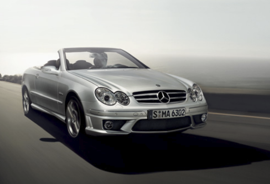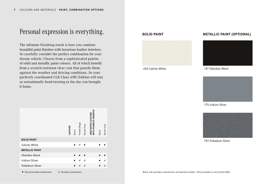# Personal expression is everything.

The ultimate finishing touch is how you combine beautiful paint finishes with luxurious leather interiors. So carefully consider the perfect combination for your dream vehicle. Choose from a sophisticated palette of solid and metallic paint colours. All of which benefit from a scratch-resistant clear coat that guards them against the weather and driving conditions. So your perfectly coordinated CLK-Class AMG Edition will stay as sensationally head-turning as the day you brought it home.

|                       | LEATHER | Black          | Pebble Beige   | Basalt Grey            | WITH NUBUCK INSERTS <sup>2</sup><br>AMG NAPPA LEATHER | Black       | Basalt Grey            |
|-----------------------|---------|----------------|----------------|------------------------|-------------------------------------------------------|-------------|------------------------|
| <b>SOLID PAINT</b>    |         |                |                |                        |                                                       |             |                        |
| Calcite White         |         | $\bullet^1$    | O <sup>1</sup> | $\bullet^!$            |                                                       | ∸'          | $\bullet$ <sup>1</sup> |
| <b>METALLIC PAINT</b> |         |                |                |                        |                                                       |             |                        |
| <b>Obsidian Black</b> |         | $\blacksquare$ | $\blacksquare$ | $\bullet$ <sup>1</sup> |                                                       | -'          | ~'                     |
| <b>Iridium Silver</b> |         | $\bullet^1$    | O <sup>1</sup> | O <sup>1</sup>         |                                                       | $\bullet^1$ | O <sup>1</sup>         |
| Palladium Silver      |         | $\bullet^1$    | O <sup>1</sup> | O <sup>1</sup>         |                                                       |             | O <sup>1</sup>         |

# **SOLID PAINT**



650 Calcite White

## **METALLIC PAINT (OPTIONAL)**



197 Obsidian Black



775 Iridium Silver



792 Palladium Silver

• Recommended combination • O Possible combination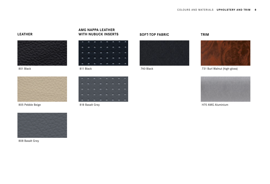# **LEATHER**



801 Black

811 Black

# **AMG NAPPA LEATHER WITH NUBUCK INSERTS**



# **SOFT-TOP FABRIC**



740 Black

# **TRIM**



731 Burl Walnut (high-gloss)



805 Pebble Beige



818 Basalt Grey



H70 AMG Aluminium



808 Basalt Grey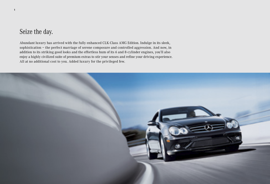# Seize the day.

Abundant luxury has arrived with the fully enhanced CLK-Class AMG Edition. Indulge in its sleek, sophistication – the perfect marriage of serene composure and controlled aggression. And now, in addition to its striking good looks and the effortless hum of its 6 and 8-cylinder engines, you'll also enjoy a highly civilized suite of premium extras to stir your senses and refine your driving experience. All at no additional cost to you. Added luxury for the privileged few.

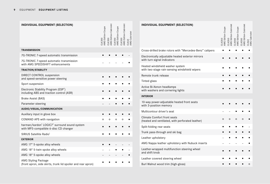| INDIVIDUAL EQUIPMENT (SELECTION)                                                                              | AMG Edition Coupe<br>CLK350 | CLK350<br>AMG Edition Cabriolet | CLK550<br>AMG Edition Coupe | CLK550<br>AMG Edition Cabriolet | CLK63<br>AMG Cabriolet | <b>INDIVIDUAL EQUIP</b>                      |
|---------------------------------------------------------------------------------------------------------------|-----------------------------|---------------------------------|-----------------------------|---------------------------------|------------------------|----------------------------------------------|
| <b>TRANSMISSION</b>                                                                                           |                             |                                 |                             |                                 |                        | Cross-drilled brake                          |
| 7G-TRONIC 7-speed automatic transmission                                                                      |                             |                                 |                             |                                 |                        | Electronically adjust                        |
| 7G-TRONIC 7-speed automatic transmission<br>with AMG SPEEDSHIFT enhancements                                  |                             |                                 |                             |                                 |                        | with turn signal indi<br>Heated windshield v |
| <b>TRACTION/STABILITY</b>                                                                                     |                             |                                 |                             |                                 |                        | with two-stage rain-                         |
| DIRECT CONTROL suspension                                                                                     |                             |                                 |                             |                                 |                        | Remote trunk releas                          |
| and speed-sensitive power steering                                                                            |                             |                                 |                             |                                 |                        | <b>Tinted glass</b>                          |
| Sport suspension<br>Electronic Stability Program (ESP®)                                                       |                             |                                 |                             |                                 |                        | Active Bi-Xenon hea<br>with washers and co   |
| including ABS and traction control (ASR)                                                                      |                             |                                 |                             |                                 |                        | <b>INTERIOR</b>                              |
| Brake Assist (BAS)                                                                                            |                             |                                 |                             |                                 |                        | 10-way power-adjus                           |
| Parameter steering                                                                                            |                             |                                 |                             |                                 |                        | with 3-position mem                          |
| AUDIO/VISUAL/COMMUNICATION                                                                                    |                             |                                 |                             |                                 |                        | Multicontour driver's                        |
| Auxiliary input in glove box                                                                                  |                             |                                 |                             |                                 |                        | Climate Comfort fro                          |
| COMAND APS with navigation                                                                                    | $\circ$                     | $\circ$                         | $\circ$                     | $\circ$                         |                        | (heated and ventilat                         |
| harman/kardon <sup>®</sup> LOGIC7 <sup>®</sup> surround sound system<br>with MP3-compatible 6-disc CD changer |                             |                                 |                             |                                 |                        | Split-folding rear sea                       |
|                                                                                                               |                             |                                 |                             |                                 |                        | Trunk pass-through                           |
|                                                                                                               |                             |                                 |                             |                                 |                        |                                              |
| SIRIUS Satellite Radio <sup>1</sup><br><b>EXTERIOR</b>                                                        |                             |                                 |                             |                                 |                        | Leather upholstery                           |
|                                                                                                               |                             |                                 |                             |                                 |                        | AMG Nappa leather                            |
| AMG 17" 5-spoke alloy wheels                                                                                  |                             |                                 |                             |                                 |                        |                                              |
| AMG 18" 5-twin spoke alloy wheels                                                                             |                             |                                 |                             |                                 |                        | Leather-wrapped mu<br>and shift knob         |
| AMG 18" 5-spoke alloy wheels<br><b>AMG Styling Package</b>                                                    |                             |                                 |                             |                                 |                        | Leather covered ste                          |

| INDIVIDUAL EQUIPMENT (SELECTION)                                                       | <b>AMG Edition Coupe</b><br>CLK350 | <b>AMG Edition Cabriolet</b><br><b>CLK350</b> | AMG Edition Coupe<br>CLK550 | <b>AMG Edition Cabriolet</b><br>CLK550 | CLK63<br>AMG Cabriolet |
|----------------------------------------------------------------------------------------|------------------------------------|-----------------------------------------------|-----------------------------|----------------------------------------|------------------------|
| Cross-drilled brake rotors with "Mercedes-Benz" calipers                               |                                    |                                               |                             |                                        |                        |
| Electronically adjustable heated exterior mirrors<br>with turn signal indicators       |                                    |                                               |                             |                                        |                        |
| Heated windshield washer system<br>with two-stage rain-sensing windshield wipers       |                                    |                                               |                             |                                        |                        |
| Remote trunk release                                                                   |                                    |                                               |                             |                                        |                        |
| <b>Tinted glass</b>                                                                    |                                    |                                               |                             |                                        |                        |
| Active Bi-Xenon headlamps<br>with washers and cornering lights                         |                                    |                                               |                             |                                        |                        |
| <b>INTERIOR</b>                                                                        |                                    |                                               |                             |                                        |                        |
| 10-way power-adjustable heated front seats<br>with 3-position memory                   |                                    |                                               |                             |                                        |                        |
| Multicontour driver's seat                                                             |                                    |                                               |                             |                                        |                        |
| <b>Climate Comfort front seats</b><br>(heated and ventilated, with perforated leather) | O                                  | O                                             | O                           | O                                      |                        |
| Split-folding rear seats                                                               |                                    |                                               |                             |                                        |                        |
| Trunk pass-through and ski bag                                                         |                                    |                                               |                             |                                        |                        |
| Leather upholstery                                                                     |                                    |                                               |                             |                                        |                        |
| AMG Nappa leather upholstery with Nubuck inserts                                       |                                    |                                               |                             |                                        |                        |
| Leather-wrapped multifunction steering wheel<br>and shift knob                         |                                    |                                               |                             |                                        |                        |
| Leather covered steering wheel                                                         |                                    |                                               |                             |                                        |                        |
| Burl Walnut wood trim (high-gloss)                                                     |                                    |                                               |                             |                                        | O                      |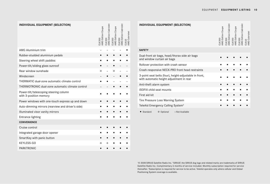$\frac{1}{2}$   $\frac{1}{2}$   $\frac{1}{2}$   $\frac{1}{2}$   $\frac{1}{2}$ 

| INDIVIDUAL EQUIPMENT (SELECTION)                                 | AMG Edition Coupe<br>CLK350 | <b>AMG Edition Cabriolet</b><br>CLK350 | AMG Edition Coupe<br>CLK550 | <b>AMG Edition Cabriolet</b><br>CLK550 | <b>AMG</b> Cabriolet<br>CLK63 |
|------------------------------------------------------------------|-----------------------------|----------------------------------------|-----------------------------|----------------------------------------|-------------------------------|
| <b>AMG Aluminium trim</b>                                        |                             |                                        |                             |                                        |                               |
| Rubber-studded aluminium pedals                                  |                             |                                        |                             |                                        |                               |
| Steering wheel shift paddles                                     |                             |                                        |                             |                                        |                               |
| Power-tilt/sliding glass sunroof                                 |                             |                                        |                             |                                        |                               |
| Rear window sunshade                                             | $\circ$                     |                                        | $\circ$                     |                                        |                               |
| Windscreen                                                       |                             |                                        |                             |                                        |                               |
| THERMATIC dual-zone automatic climate control                    |                             |                                        |                             |                                        |                               |
| THERMOTRONIC dual-zone automatic climate control                 |                             |                                        |                             |                                        |                               |
| Power-tilt/telescoping steering column<br>with 3-position memory |                             |                                        |                             |                                        |                               |
| Power windows with one-touch express up and down                 |                             |                                        |                             |                                        |                               |
| Auto-dimming mirrors (rearview and driver's side)                |                             |                                        |                             |                                        |                               |
| Illuminated visor vanity mirrors                                 |                             |                                        |                             |                                        |                               |
| Entrance lighting                                                |                             |                                        |                             |                                        |                               |
| <b>CONVENIENCE</b>                                               |                             |                                        |                             |                                        |                               |
| Cruise control                                                   |                             |                                        |                             |                                        |                               |
| Integrated garage door opener                                    |                             |                                        |                             |                                        |                               |
| SmartKey with panic button                                       |                             |                                        |                             |                                        |                               |
| KEYLESS-GO                                                       | $\circ$                     | $\circ$                                |                             |                                        |                               |
| PARKTRONIC                                                       |                             |                                        |                             |                                        |                               |

### **INDIVIDUAL EQUIPMENT (SELECTION)**

| INDIVIDUAL EQUIPMENT (SELECTION)                                                                   | AMG Edition Coupe<br>CLK350 | Cabriolet<br><b>AMG</b> Edition<br>CLK350 | Coupe<br>CLK550<br>AMG Edition ( | Cabriolet<br>CLK550<br>AMG Edition C | CLK63<br>AMG Cabriolet |
|----------------------------------------------------------------------------------------------------|-----------------------------|-------------------------------------------|----------------------------------|--------------------------------------|------------------------|
| <b>SAFETY</b>                                                                                      |                             |                                           |                                  |                                      |                        |
| Dual-front air bags, head/thorax side air bags<br>and window curtain air bags                      |                             |                                           |                                  |                                      |                        |
| Rollover protection with crash sensor                                                              |                             |                                           |                                  |                                      |                        |
| Crash-responsive NECK-PRO front head restraints                                                    |                             |                                           |                                  |                                      |                        |
| 3-point seat belts (four), height-adjustable in front,<br>with automatic height adjustment in rear |                             |                                           |                                  |                                      |                        |
| Anti-theft alarm system                                                                            |                             |                                           |                                  |                                      |                        |
| <b>ISOFIX child seat mounts</b>                                                                    |                             |                                           |                                  |                                      |                        |
| First aid kit                                                                                      |                             |                                           |                                  |                                      |                        |
| Tire Pressure Loss Warning System                                                                  |                             |                                           |                                  |                                      |                        |
| TeleAid Emergency Calling System <sup>2</sup>                                                      |                             |                                           |                                  |                                      |                        |
|                                                                                                    |                             |                                           |                                  |                                      |                        |

• Standard • O Optional • Not Available

1 © 2008 SIRIUS Satellite Radio Inc. "SIRIUS", the SIRIUS dog logo and related marks are trademarks of SIRIUS Satellite Radio Inc. Complimentary 6 months of service included. Monthly subscription required for service thereafter. 2 Subscription is required for service to be active. TeleAid operates only where cellular and Global Positioning System coverage is available.